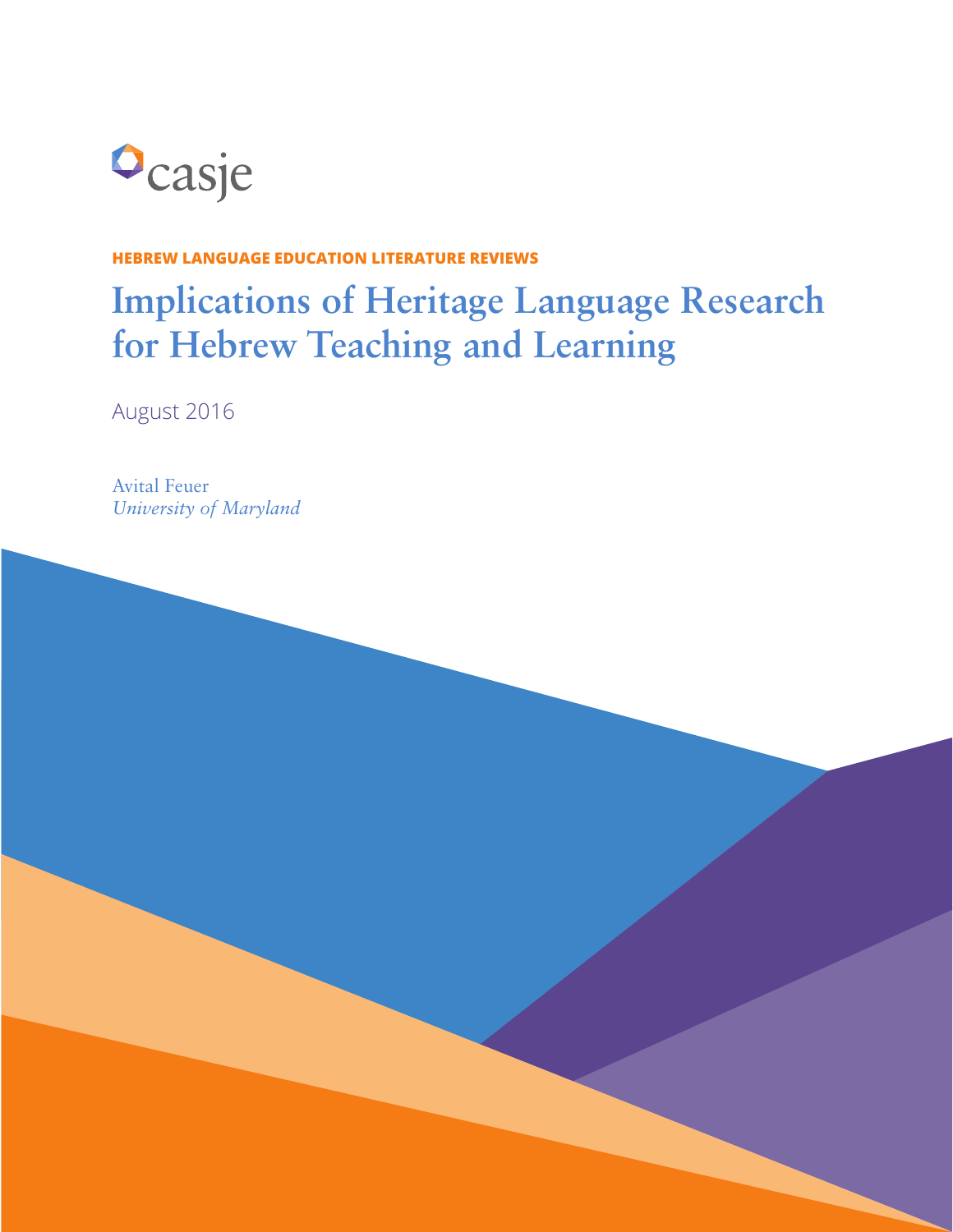

#### **HEBREW LANGUAGE EDUCATION LITERATURE REVIEWS**

# **Implications of Heritage Language Research for Hebrew Teaching and Learning**

August 2016

Avital Feuer *University of Maryland*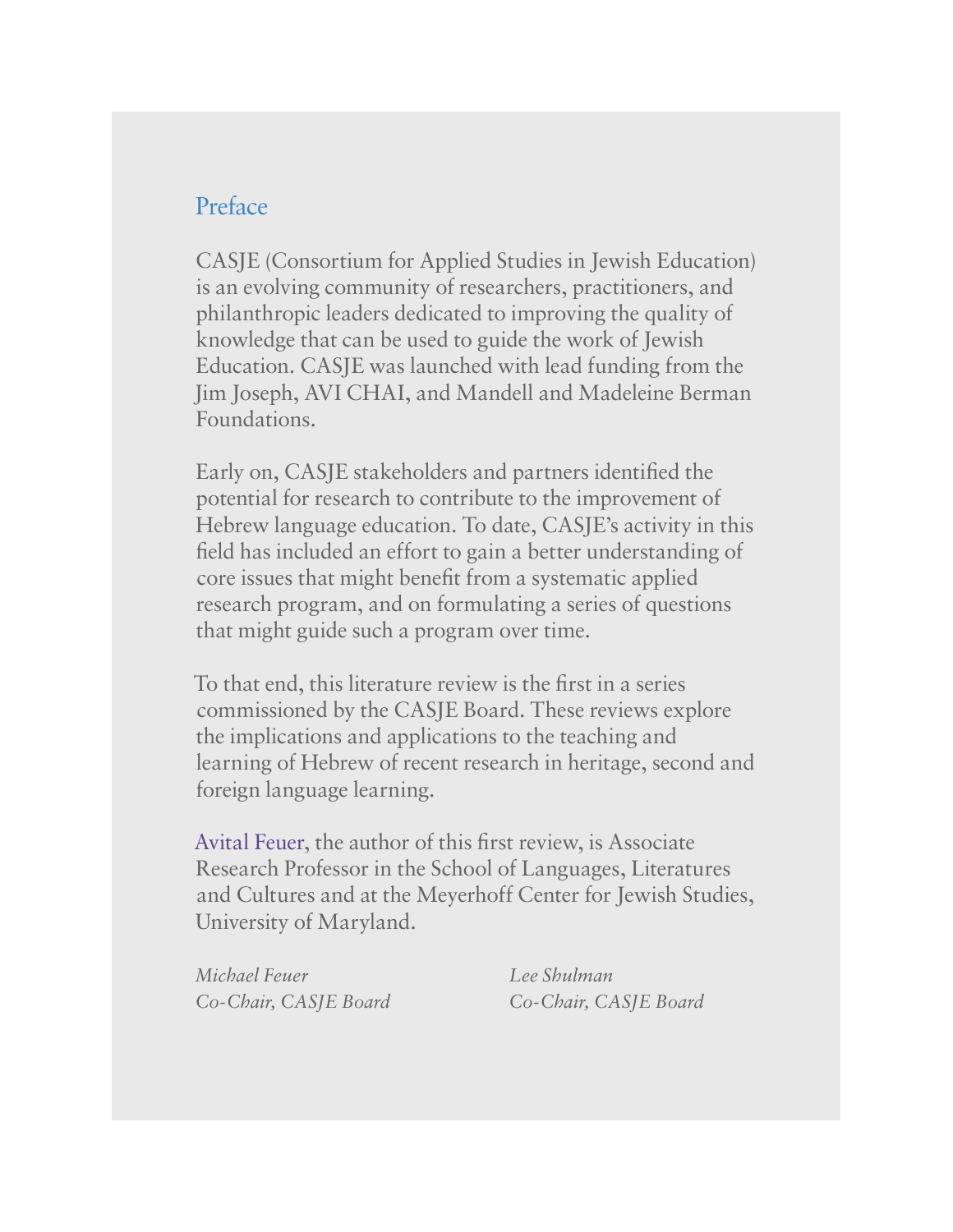### Preface

CASJE (Consortium for Applied Studies in Jewish Education) is an evolving community of researchers, practitioners, and philanthropic leaders dedicated to improving the quality of knowledge that can be used to guide the work of Jewish Education. CASJE was launched with lead funding from the Jim Joseph, AVI CHAI, and Mandell and Madeleine Berman Foundations.

Early on, CASJE stakeholders and partners identified the potential for research to contribute to the improvement of Hebrew language education. To date, CASJE's activity in this field has included an effort to gain a better understanding of core issues that might benefit from a systematic applied research program, and on formulating a series of questions that might guide such a program over time.

To that end, this literature review is the first in a series commissioned by the CASJE Board. These reviews explore the implications and applications to the teaching and learning of Hebrew of recent research in heritage, second and foreign language learning.

Avital Feuer, the author of this first review, is Associate Research Professor in the School of Languages, Literatures and Cultures and at the Meyerhoff Center for Jewish Studies, University of Maryland.

*Michael Feuer Lee Shulman Co-Chair, CASJE Board Co-Chair, CASJE Board*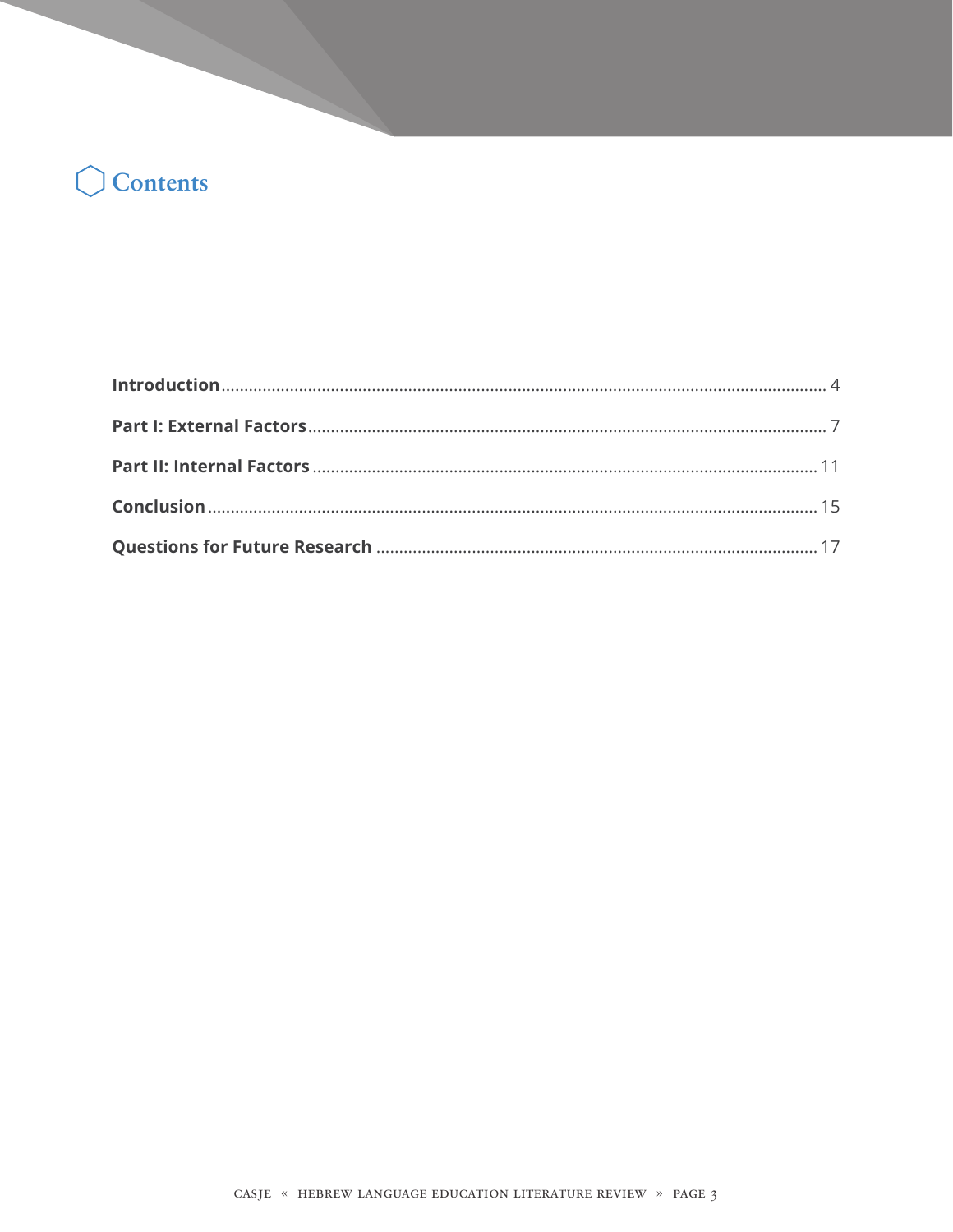# Contents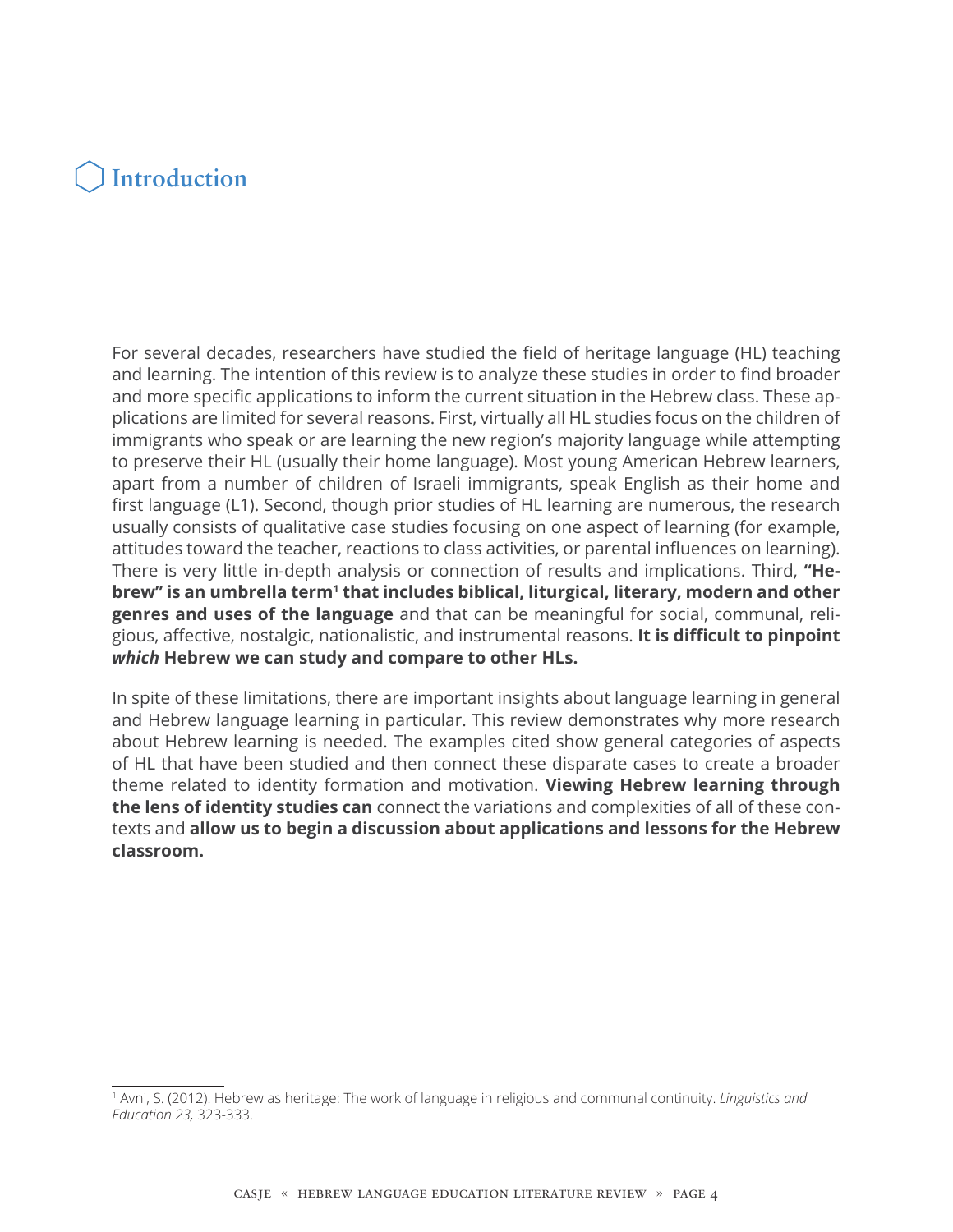### **Introduction**

For several decades, researchers have studied the field of heritage language (HL) teaching and learning. The intention of this review is to analyze these studies in order to find broader and more specific applications to inform the current situation in the Hebrew class. These applications are limited for several reasons. First, virtually all HL studies focus on the children of immigrants who speak or are learning the new region's majority language while attempting to preserve their HL (usually their home language). Most young American Hebrew learners, apart from a number of children of Israeli immigrants, speak English as their home and first language (L1). Second, though prior studies of HL learning are numerous, the research usually consists of qualitative case studies focusing on one aspect of learning (for example, attitudes toward the teacher, reactions to class activities, or parental influences on learning). There is very little in-depth analysis or connection of results and implications. Third, **"He**brew" is an umbrella term<sup>1</sup> that includes biblical, liturgical, literary, modern and other **genres and uses of the language** and that can be meaningful for social, communal, religious, affective, nostalgic, nationalistic, and instrumental reasons. **It is difficult to pinpoint**  *which* **Hebrew we can study and compare to other HLs.**

In spite of these limitations, there are important insights about language learning in general and Hebrew language learning in particular. This review demonstrates why more research about Hebrew learning is needed. The examples cited show general categories of aspects of HL that have been studied and then connect these disparate cases to create a broader theme related to identity formation and motivation. **Viewing Hebrew learning through the lens of identity studies can** connect the variations and complexities of all of these contexts and **allow us to begin a discussion about applications and lessons for the Hebrew classroom.**

<sup>1</sup> Avni, S. (2012). Hebrew as heritage: The work of language in religious and communal continuity. *Linguistics and Education 23,* 323-333.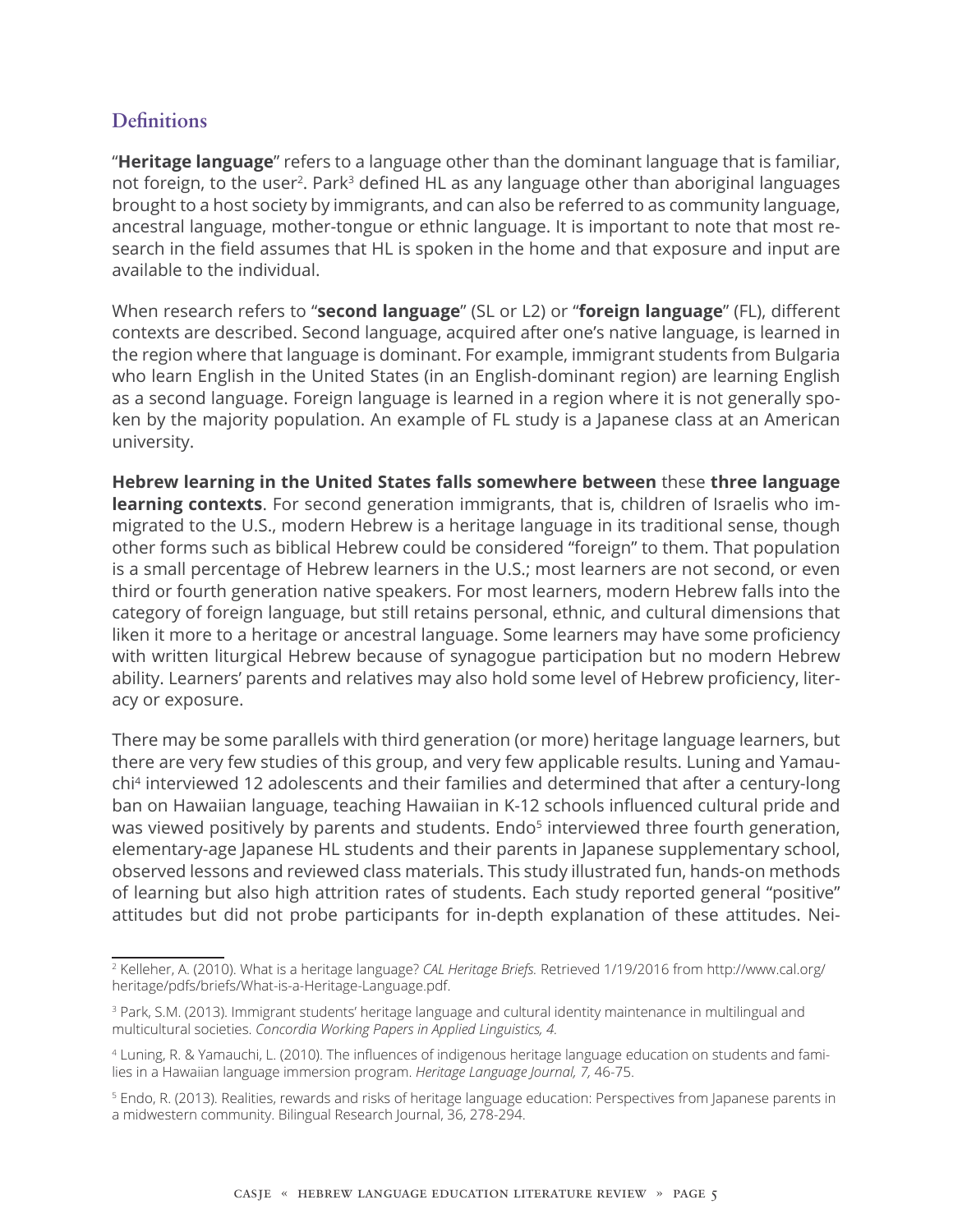#### **Definitions**

"**Heritage language**" refers to a language other than the dominant language that is familiar, not foreign, to the user<sup>2</sup>. Park<sup>3</sup> defined HL as any language other than aboriginal languages brought to a host society by immigrants, and can also be referred to as community language, ancestral language, mother-tongue or ethnic language. It is important to note that most research in the field assumes that HL is spoken in the home and that exposure and input are available to the individual.

When research refers to "**second language**" (SL or L2) or "**foreign language**" (FL), different contexts are described. Second language, acquired after one's native language, is learned in the region where that language is dominant. For example, immigrant students from Bulgaria who learn English in the United States (in an English-dominant region) are learning English as a second language. Foreign language is learned in a region where it is not generally spoken by the majority population. An example of FL study is a Japanese class at an American university.

**Hebrew learning in the United States falls somewhere between** these **three language learning contexts**. For second generation immigrants, that is, children of Israelis who immigrated to the U.S., modern Hebrew is a heritage language in its traditional sense, though other forms such as biblical Hebrew could be considered "foreign" to them. That population is a small percentage of Hebrew learners in the U.S.; most learners are not second, or even third or fourth generation native speakers. For most learners, modern Hebrew falls into the category of foreign language, but still retains personal, ethnic, and cultural dimensions that liken it more to a heritage or ancestral language. Some learners may have some proficiency with written liturgical Hebrew because of synagogue participation but no modern Hebrew ability. Learners' parents and relatives may also hold some level of Hebrew proficiency, literacy or exposure.

There may be some parallels with third generation (or more) heritage language learners, but there are very few studies of this group, and very few applicable results. Luning and Yamauchi4 interviewed 12 adolescents and their families and determined that after a century-long ban on Hawaiian language, teaching Hawaiian in K-12 schools influenced cultural pride and was viewed positively by parents and students. Endo<sup>5</sup> interviewed three fourth generation, elementary-age Japanese HL students and their parents in Japanese supplementary school, observed lessons and reviewed class materials. This study illustrated fun, hands-on methods of learning but also high attrition rates of students. Each study reported general "positive" attitudes but did not probe participants for in-depth explanation of these attitudes. Nei-

<sup>2</sup> Kelleher, A. (2010). What is a heritage language? *CAL Heritage Briefs.* Retrieved 1/19/2016 from http://www.cal.org/ heritage/pdfs/briefs/What-is-a-Heritage-Language.pdf.

<sup>3</sup> Park, S.M. (2013). Immigrant students' heritage language and cultural identity maintenance in multilingual and multicultural societies. *Concordia Working Papers in Applied Linguistics, 4.*

<sup>4</sup> Luning, R. & Yamauchi, L. (2010). The influences of indigenous heritage language education on students and families in a Hawaiian language immersion program. *Heritage Language Journal, 7,* 46-75.

<sup>5</sup> Endo, R. (2013). Realities, rewards and risks of heritage language education: Perspectives from Japanese parents in a midwestern community. Bilingual Research Journal, 36, 278-294.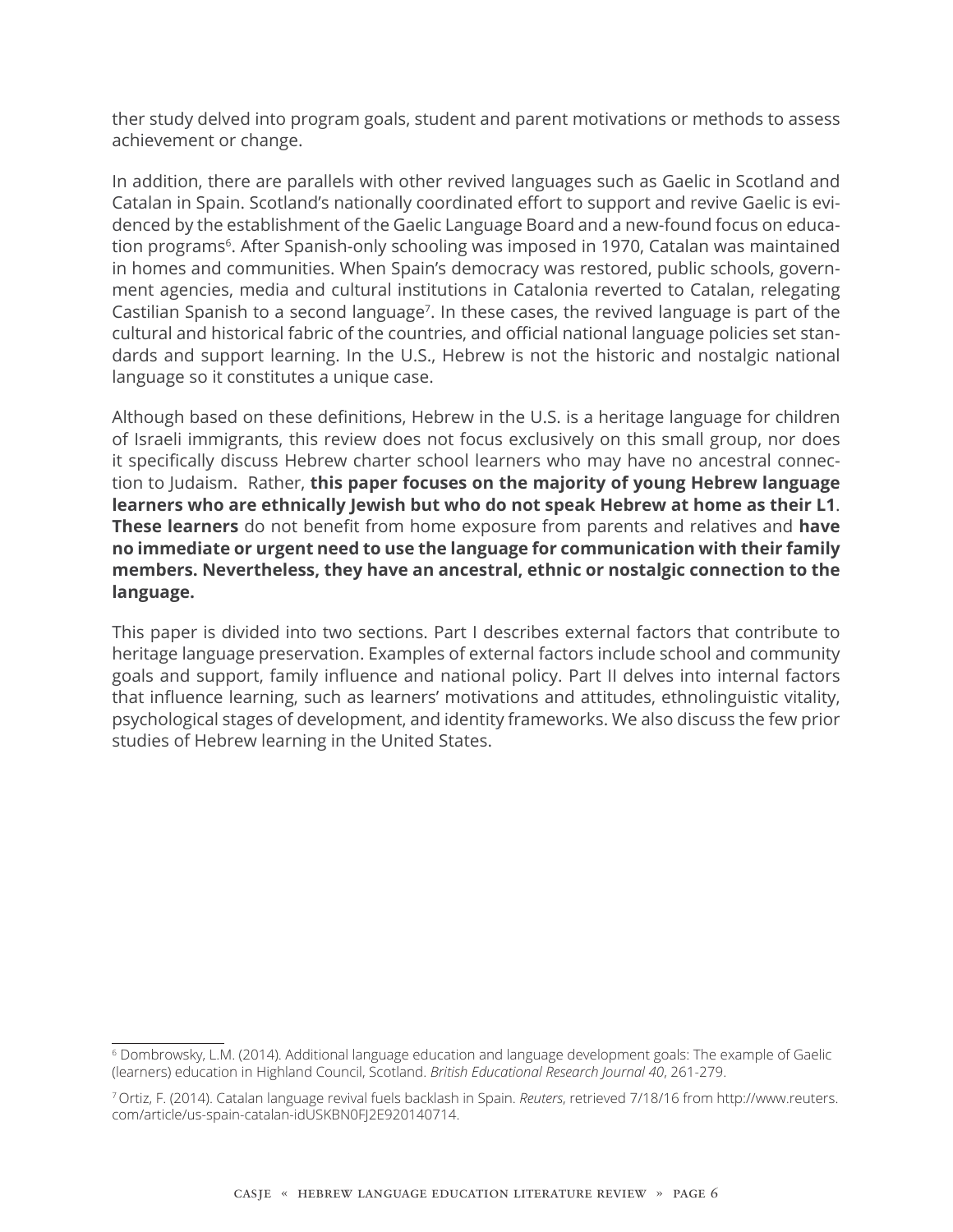ther study delved into program goals, student and parent motivations or methods to assess achievement or change.

In addition, there are parallels with other revived languages such as Gaelic in Scotland and Catalan in Spain. Scotland's nationally coordinated effort to support and revive Gaelic is evidenced by the establishment of the Gaelic Language Board and a new-found focus on education programs<sup>6</sup>. After Spanish-only schooling was imposed in 1970, Catalan was maintained in homes and communities. When Spain's democracy was restored, public schools, government agencies, media and cultural institutions in Catalonia reverted to Catalan, relegating Castilian Spanish to a second language<sup>7</sup>. In these cases, the revived language is part of the cultural and historical fabric of the countries, and official national language policies set standards and support learning. In the U.S., Hebrew is not the historic and nostalgic national language so it constitutes a unique case.

Although based on these definitions, Hebrew in the U.S. is a heritage language for children of Israeli immigrants, this review does not focus exclusively on this small group, nor does it specifically discuss Hebrew charter school learners who may have no ancestral connection to Judaism. Rather, **this paper focuses on the majority of young Hebrew language learners who are ethnically Jewish but who do not speak Hebrew at home as their L1**. **These learners** do not benefit from home exposure from parents and relatives and **have no immediate or urgent need to use the language for communication with their family members. Nevertheless, they have an ancestral, ethnic or nostalgic connection to the language.**

This paper is divided into two sections. Part I describes external factors that contribute to heritage language preservation. Examples of external factors include school and community goals and support, family influence and national policy. Part II delves into internal factors that influence learning, such as learners' motivations and attitudes, ethnolinguistic vitality, psychological stages of development, and identity frameworks. We also discuss the few prior studies of Hebrew learning in the United States.

<sup>6</sup> Dombrowsky, L.M. (2014). Additional language education and language development goals: The example of Gaelic (learners) education in Highland Council, Scotland. *British Educational Research Journal 40*, 261-279.

<sup>7</sup>Ortiz, F. (2014). Catalan language revival fuels backlash in Spain. *Reuters*, retrieved 7/18/16 from http://www.reuters. com/article/us-spain-catalan-idUSKBN0FJ2E920140714.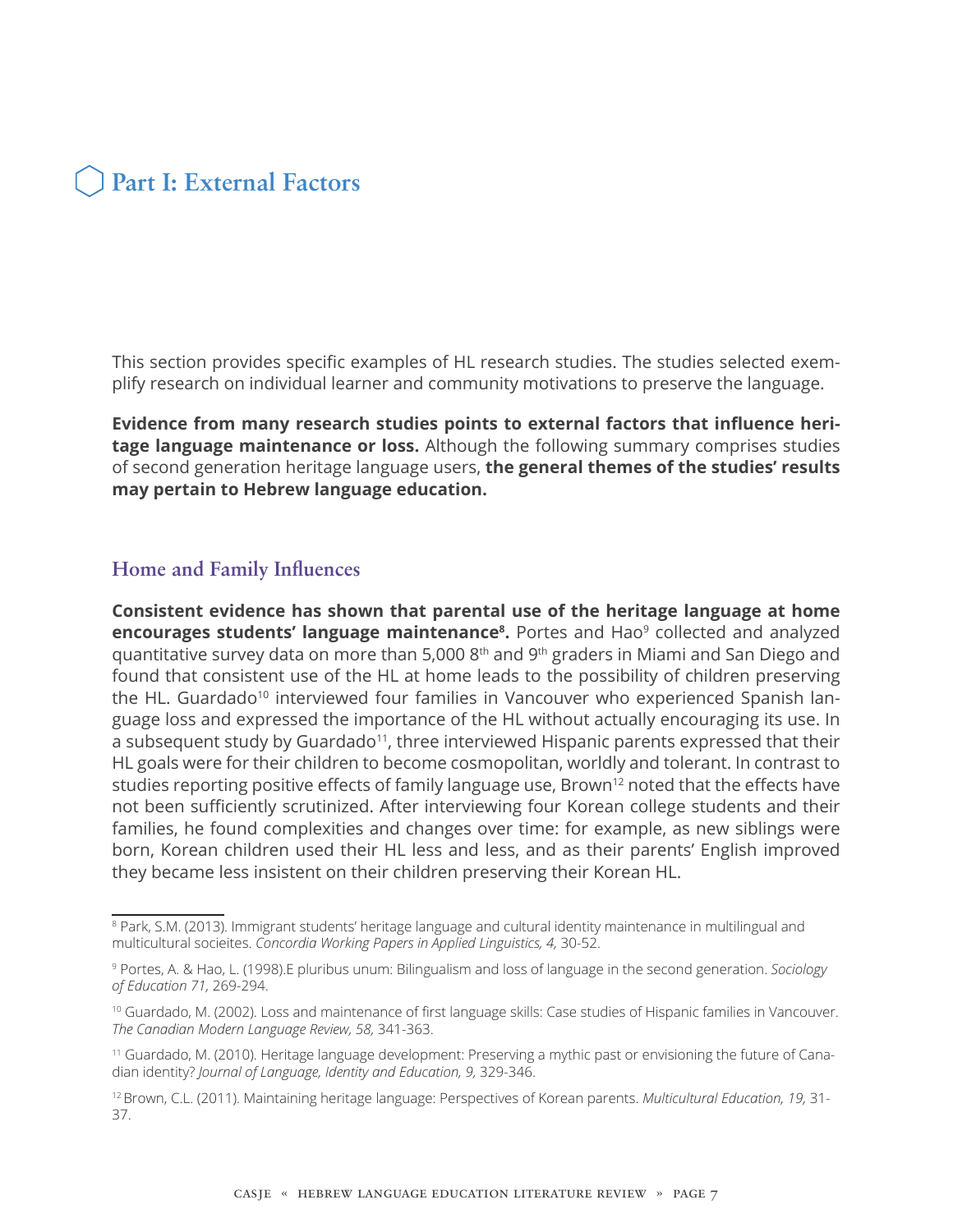

This section provides specific examples of HL research studies. The studies selected exemplify research on individual learner and community motivations to preserve the language.

**Evidence from many research studies points to external factors that influence heritage language maintenance or loss.** Although the following summary comprises studies of second generation heritage language users, **the general themes of the studies' results may pertain to Hebrew language education.**

#### **Home and Family Influences**

**Consistent evidence has shown that parental use of the heritage language at home encourages students' language maintenance<sup>8</sup>.** Portes and Hao<sup>9</sup> collected and analyzed quantitative survey data on more than 5,000 8th and 9th graders in Miami and San Diego and found that consistent use of the HL at home leads to the possibility of children preserving the HL. Guardado<sup>10</sup> interviewed four families in Vancouver who experienced Spanish language loss and expressed the importance of the HL without actually encouraging its use. In a subsequent study by Guardado<sup>11</sup>, three interviewed Hispanic parents expressed that their HL goals were for their children to become cosmopolitan, worldly and tolerant. In contrast to studies reporting positive effects of family language use, Brown<sup>12</sup> noted that the effects have not been sufficiently scrutinized. After interviewing four Korean college students and their families, he found complexities and changes over time: for example, as new siblings were born, Korean children used their HL less and less, and as their parents' English improved they became less insistent on their children preserving their Korean HL.

<sup>8</sup> Park, S.M. (2013). Immigrant students' heritage language and cultural identity maintenance in multilingual and multicultural socieites. *Concordia Working Papers in Applied Linguistics, 4,* 30-52.

<sup>9</sup> Portes, A. & Hao, L. (1998).E pluribus unum: Bilingualism and loss of language in the second generation. *Sociology of Education 71,* 269-294.

<sup>10</sup> Guardado, M. (2002). Loss and maintenance of first language skills: Case studies of Hispanic families in Vancouver. *The Canadian Modern Language Review, 58,* 341-363.

<sup>11</sup> Guardado, M. (2010). Heritage language development: Preserving a mythic past or envisioning the future of Canadian identity? *Journal of Language, Identity and Education, 9,* 329-346.

<sup>12</sup>Brown, C.L. (2011). Maintaining heritage language: Perspectives of Korean parents. *Multicultural Education, 19,* 31- 37.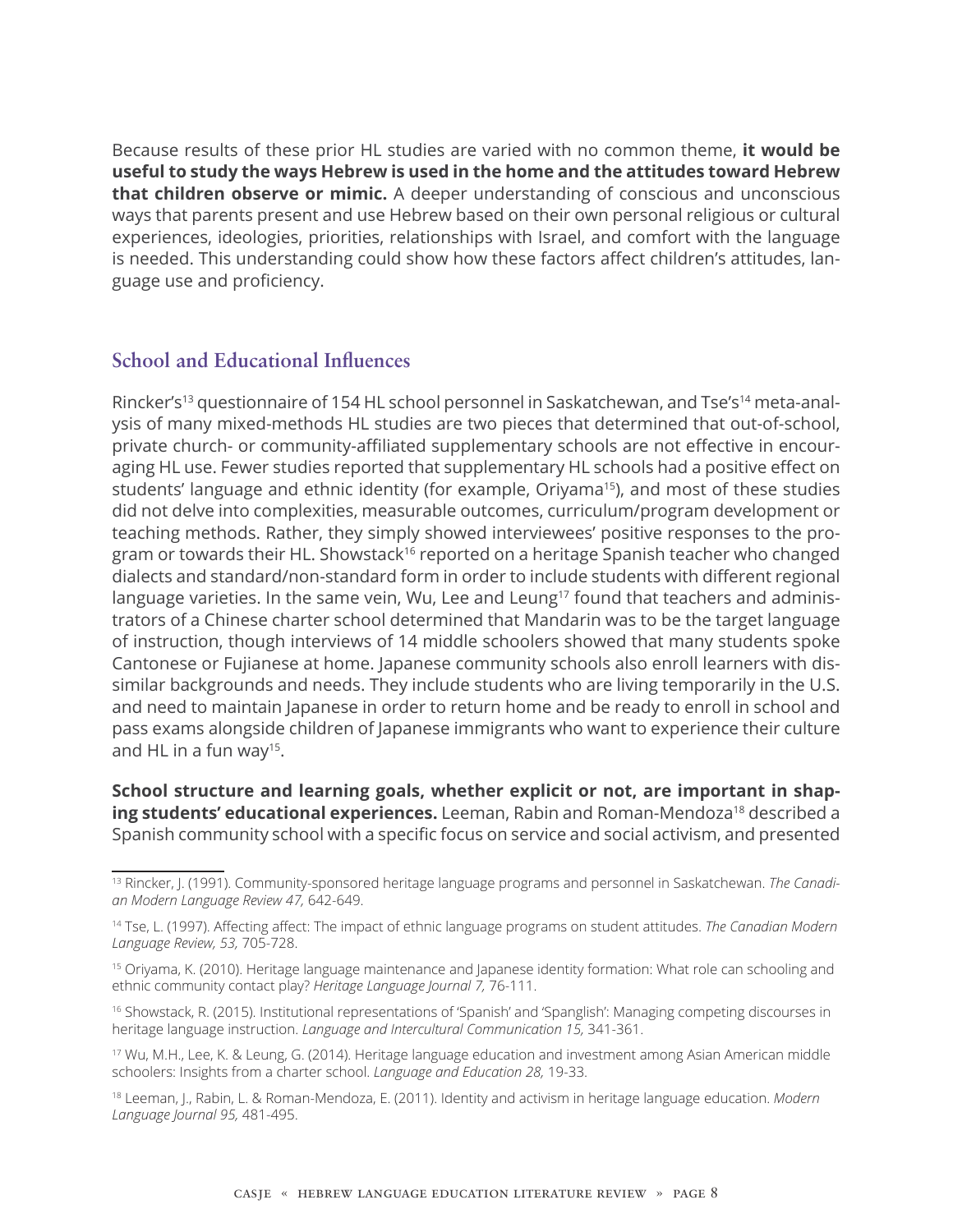Because results of these prior HL studies are varied with no common theme, **it would be useful to study the ways Hebrew is used in the home and the attitudes toward Hebrew that children observe or mimic.** A deeper understanding of conscious and unconscious ways that parents present and use Hebrew based on their own personal religious or cultural experiences, ideologies, priorities, relationships with Israel, and comfort with the language is needed. This understanding could show how these factors affect children's attitudes, language use and proficiency.

#### **School and Educational Influences**

Rincker's<sup>13</sup> questionnaire of 154 HL school personnel in Saskatchewan, and Tse's<sup>14</sup> meta-analysis of many mixed-methods HL studies are two pieces that determined that out-of-school, private church- or community-affiliated supplementary schools are not effective in encouraging HL use. Fewer studies reported that supplementary HL schools had a positive effect on students' language and ethnic identity (for example, Oriyama<sup>15</sup>), and most of these studies did not delve into complexities, measurable outcomes, curriculum/program development or teaching methods. Rather, they simply showed interviewees' positive responses to the program or towards their HL. Showstack<sup>16</sup> reported on a heritage Spanish teacher who changed dialects and standard/non-standard form in order to include students with different regional language varieties. In the same vein, Wu, Lee and Leung<sup>17</sup> found that teachers and administrators of a Chinese charter school determined that Mandarin was to be the target language of instruction, though interviews of 14 middle schoolers showed that many students spoke Cantonese or Fujianese at home. Japanese community schools also enroll learners with dissimilar backgrounds and needs. They include students who are living temporarily in the U.S. and need to maintain Japanese in order to return home and be ready to enroll in school and pass exams alongside children of Japanese immigrants who want to experience their culture and HL in a fun way<sup>15</sup>.

**School structure and learning goals, whether explicit or not, are important in shap**ing students' educational experiences. Leeman, Rabin and Roman-Mendoza<sup>18</sup> described a Spanish community school with a specific focus on service and social activism, and presented

<sup>13</sup> Rincker, J. (1991). Community-sponsored heritage language programs and personnel in Saskatchewan. *The Canadian Modern Language Review 47,* 642-649.

<sup>14</sup> Tse, L. (1997). Affecting affect: The impact of ethnic language programs on student attitudes. *The Canadian Modern Language Review, 53,* 705-728.

<sup>15</sup> Oriyama, K. (2010). Heritage language maintenance and Japanese identity formation: What role can schooling and ethnic community contact play? *Heritage Language Journal 7,* 76-111.

<sup>16</sup> Showstack, R. (2015). Institutional representations of 'Spanish' and 'Spanglish': Managing competing discourses in heritage language instruction. *Language and Intercultural Communication 15,* 341-361.

<sup>17</sup> Wu, M.H., Lee, K. & Leung, G. (2014). Heritage language education and investment among Asian American middle schoolers: Insights from a charter school. *Language and Education 28,* 19-33.

<sup>18</sup> Leeman, J., Rabin, L. & Roman-Mendoza, E. (2011). Identity and activism in heritage language education. *Modern Language Journal 95,* 481-495.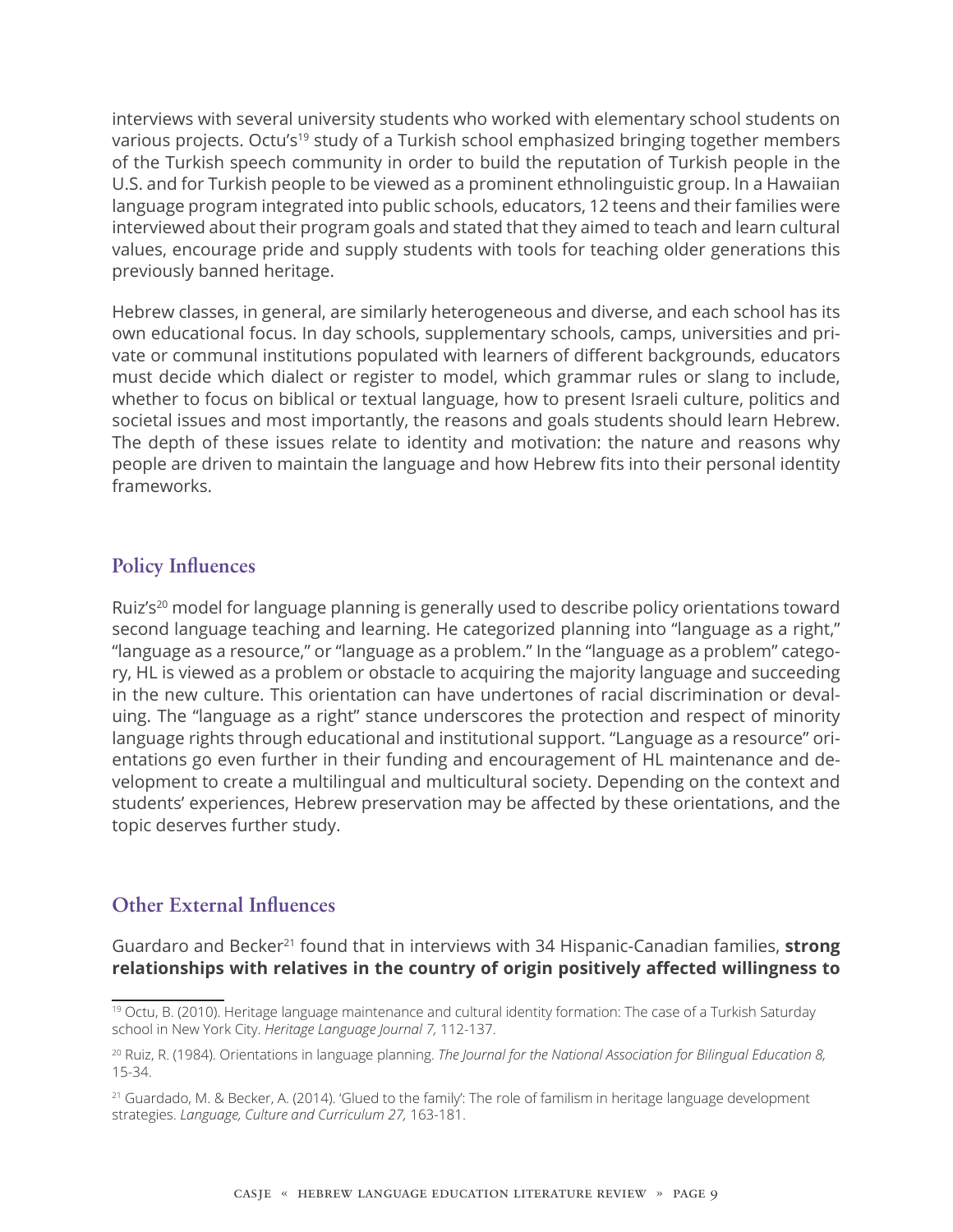interviews with several university students who worked with elementary school students on various projects. Octu's<sup>19</sup> study of a Turkish school emphasized bringing together members of the Turkish speech community in order to build the reputation of Turkish people in the U.S. and for Turkish people to be viewed as a prominent ethnolinguistic group. In a Hawaiian language program integrated into public schools, educators, 12 teens and their families were interviewed about their program goals and stated that they aimed to teach and learn cultural values, encourage pride and supply students with tools for teaching older generations this previously banned heritage.

Hebrew classes, in general, are similarly heterogeneous and diverse, and each school has its own educational focus. In day schools, supplementary schools, camps, universities and private or communal institutions populated with learners of different backgrounds, educators must decide which dialect or register to model, which grammar rules or slang to include, whether to focus on biblical or textual language, how to present Israeli culture, politics and societal issues and most importantly, the reasons and goals students should learn Hebrew. The depth of these issues relate to identity and motivation: the nature and reasons why people are driven to maintain the language and how Hebrew fits into their personal identity frameworks.

#### **Policy Influences**

Ruiz's<sup>20</sup> model for language planning is generally used to describe policy orientations toward second language teaching and learning. He categorized planning into "language as a right," "language as a resource," or "language as a problem." In the "language as a problem" category, HL is viewed as a problem or obstacle to acquiring the majority language and succeeding in the new culture. This orientation can have undertones of racial discrimination or devaluing. The "language as a right" stance underscores the protection and respect of minority language rights through educational and institutional support. "Language as a resource" orientations go even further in their funding and encouragement of HL maintenance and development to create a multilingual and multicultural society. Depending on the context and students' experiences, Hebrew preservation may be affected by these orientations, and the topic deserves further study.

#### **Other External Influences**

Guardaro and Becker<sup>21</sup> found that in interviews with 34 Hispanic-Canadian families, **strong relationships with relatives in the country of origin positively affected willingness to** 

<sup>19</sup> Octu, B. (2010). Heritage language maintenance and cultural identity formation: The case of a Turkish Saturday school in New York City. *Heritage Language Journal 7,* 112-137.

<sup>20</sup> Ruiz, R. (1984). Orientations in language planning. *The Journal for the National Association for Bilingual Education 8,* 15-34.

<sup>21</sup> Guardado, M. & Becker, A. (2014). 'Glued to the family': The role of familism in heritage language development strategies. *Language, Culture and Curriculum 27,* 163-181.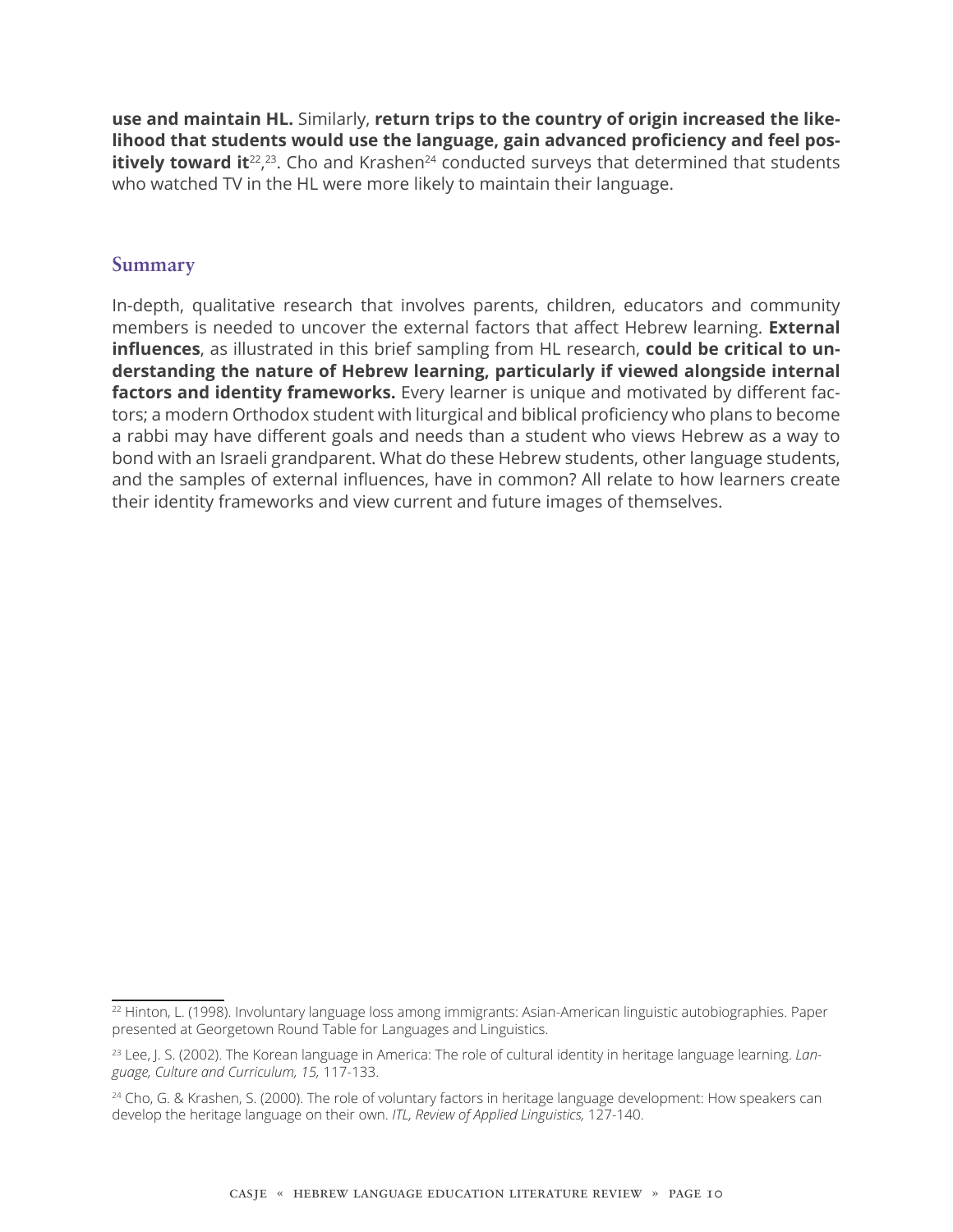**use and maintain HL.** Similarly, **return trips to the country of origin increased the likelihood that students would use the language, gain advanced proficiency and feel positively toward it**<sup>22</sup>,<sup>23</sup>. Cho and Krashen<sup>24</sup> conducted surveys that determined that students who watched TV in the HL were more likely to maintain their language.

#### **Summary**

In-depth, qualitative research that involves parents, children, educators and community members is needed to uncover the external factors that affect Hebrew learning. **External influences**, as illustrated in this brief sampling from HL research, **could be critical to understanding the nature of Hebrew learning, particularly if viewed alongside internal factors and identity frameworks.** Every learner is unique and motivated by different factors; a modern Orthodox student with liturgical and biblical proficiency who plans to become a rabbi may have different goals and needs than a student who views Hebrew as a way to bond with an Israeli grandparent. What do these Hebrew students, other language students, and the samples of external influences, have in common? All relate to how learners create their identity frameworks and view current and future images of themselves.

<sup>22</sup> Hinton, L. (1998). Involuntary language loss among immigrants: Asian-American linguistic autobiographies. Paper presented at Georgetown Round Table for Languages and Linguistics.

<sup>23</sup> Lee, J. S. (2002). The Korean language in America: The role of cultural identity in heritage language learning. *Language, Culture and Curriculum, 15,* 117-133.

<sup>&</sup>lt;sup>24</sup> Cho, G. & Krashen, S. (2000). The role of voluntary factors in heritage language development: How speakers can develop the heritage language on their own. *ITL, Review of Applied Linguistics,* 127-140.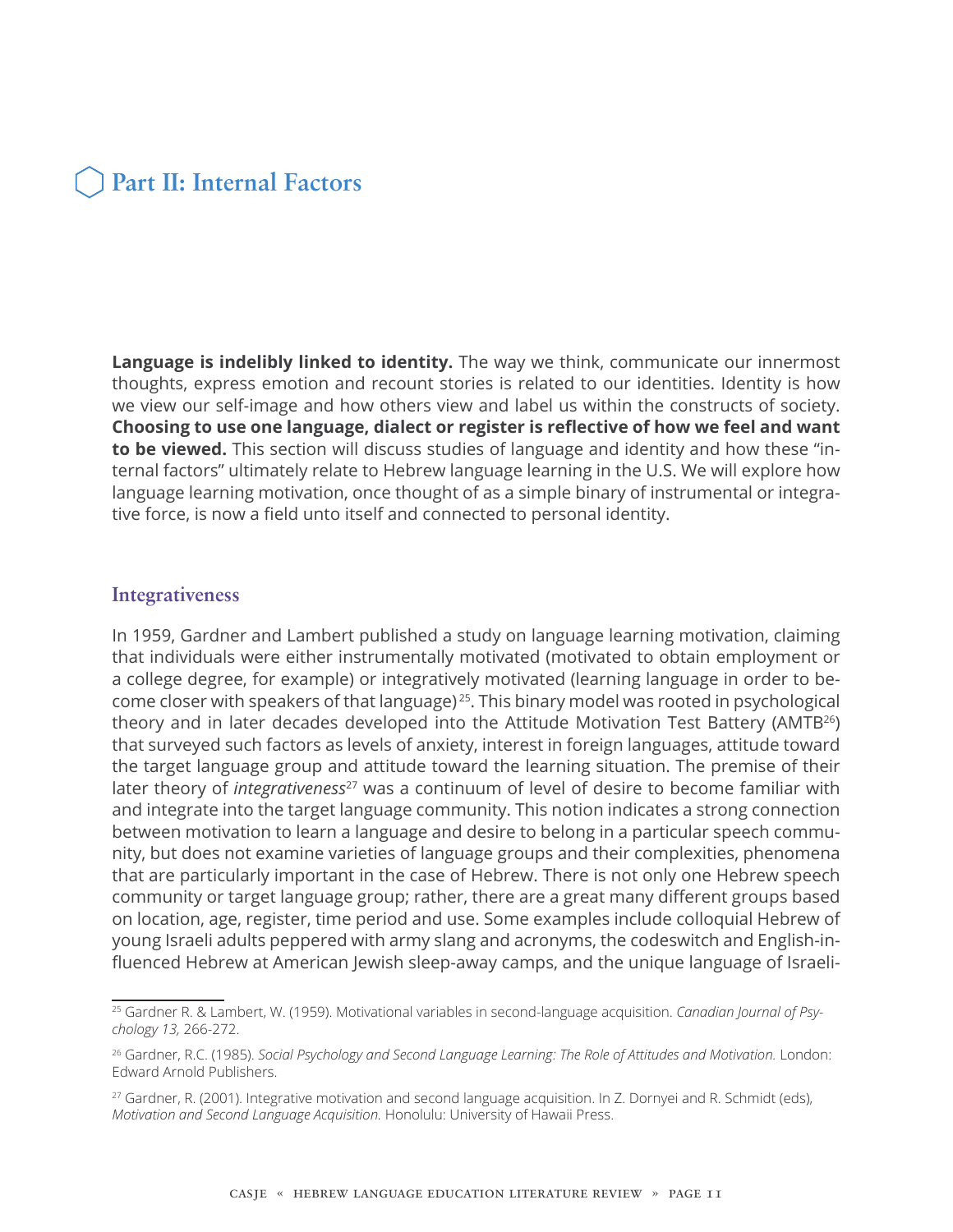### **Part II: Internal Factors**

**Language is indelibly linked to identity.** The way we think, communicate our innermost thoughts, express emotion and recount stories is related to our identities. Identity is how we view our self-image and how others view and label us within the constructs of society. **Choosing to use one language, dialect or register is reflective of how we feel and want to be viewed.** This section will discuss studies of language and identity and how these "internal factors" ultimately relate to Hebrew language learning in the U.S. We will explore how language learning motivation, once thought of as a simple binary of instrumental or integrative force, is now a field unto itself and connected to personal identity.

#### **Integrativeness**

In 1959, Gardner and Lambert published a study on language learning motivation, claiming that individuals were either instrumentally motivated (motivated to obtain employment or a college degree, for example) or integratively motivated (learning language in order to become closer with speakers of that language) <sup>25</sup>. This binary model was rooted in psychological theory and in later decades developed into the Attitude Motivation Test Battery (AMTB<sup>26</sup>) that surveyed such factors as levels of anxiety, interest in foreign languages, attitude toward the target language group and attitude toward the learning situation. The premise of their later theory of *integrativeness<sup>27</sup>* was a continuum of level of desire to become familiar with and integrate into the target language community. This notion indicates a strong connection between motivation to learn a language and desire to belong in a particular speech community, but does not examine varieties of language groups and their complexities, phenomena that are particularly important in the case of Hebrew. There is not only one Hebrew speech community or target language group; rather, there are a great many different groups based on location, age, register, time period and use. Some examples include colloquial Hebrew of young Israeli adults peppered with army slang and acronyms, the codeswitch and English-influenced Hebrew at American Jewish sleep-away camps, and the unique language of Israeli-

<sup>25</sup> Gardner R. & Lambert, W. (1959). Motivational variables in second-language acquisition. *Canadian Journal of Psychology 13,* 266-272.

<sup>26</sup> Gardner, R.C. (1985). *Social Psychology and Second Language Learning: The Role of Attitudes and Motivation.* London: Edward Arnold Publishers.

<sup>&</sup>lt;sup>27</sup> Gardner, R. (2001). Integrative motivation and second language acquisition. In Z. Dornyei and R. Schmidt (eds), *Motivation and Second Language Acquisition.* Honolulu: University of Hawaii Press.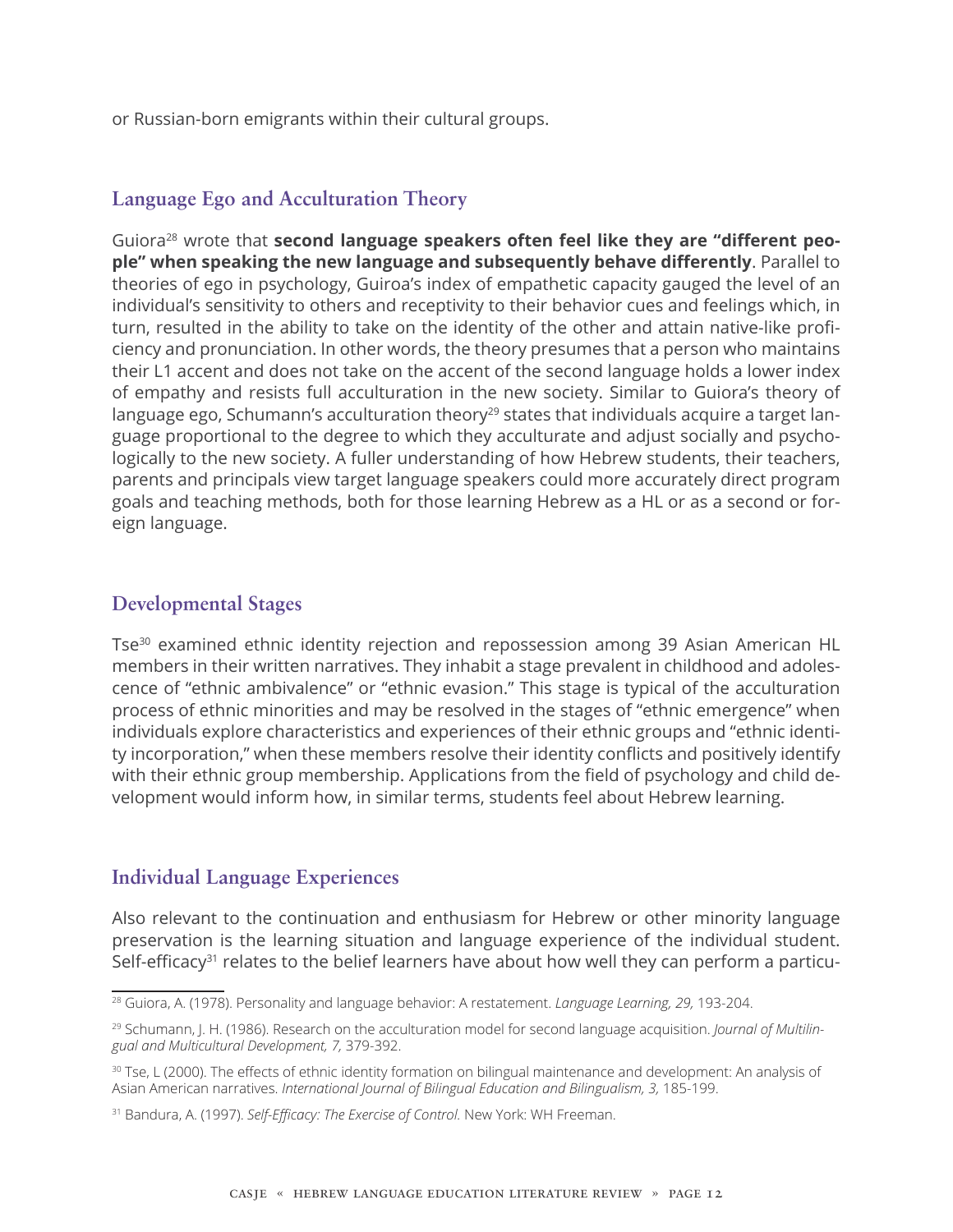or Russian-born emigrants within their cultural groups.

#### **Language Ego and Acculturation Theory**

Guiora28 wrote that **second language speakers often feel like they are "different people" when speaking the new language and subsequently behave differently**. Parallel to theories of ego in psychology, Guiroa's index of empathetic capacity gauged the level of an individual's sensitivity to others and receptivity to their behavior cues and feelings which, in turn, resulted in the ability to take on the identity of the other and attain native-like proficiency and pronunciation. In other words, the theory presumes that a person who maintains their L1 accent and does not take on the accent of the second language holds a lower index of empathy and resists full acculturation in the new society. Similar to Guiora's theory of language ego, Schumann's acculturation theory<sup>29</sup> states that individuals acquire a target language proportional to the degree to which they acculturate and adjust socially and psychologically to the new society. A fuller understanding of how Hebrew students, their teachers, parents and principals view target language speakers could more accurately direct program goals and teaching methods, both for those learning Hebrew as a HL or as a second or foreign language.

#### **Developmental Stages**

Tse30 examined ethnic identity rejection and repossession among 39 Asian American HL members in their written narratives. They inhabit a stage prevalent in childhood and adolescence of "ethnic ambivalence" or "ethnic evasion." This stage is typical of the acculturation process of ethnic minorities and may be resolved in the stages of "ethnic emergence" when individuals explore characteristics and experiences of their ethnic groups and "ethnic identity incorporation," when these members resolve their identity conflicts and positively identify with their ethnic group membership. Applications from the field of psychology and child development would inform how, in similar terms, students feel about Hebrew learning.

#### **Individual Language Experiences**

Also relevant to the continuation and enthusiasm for Hebrew or other minority language preservation is the learning situation and language experience of the individual student. Self-efficacy<sup>31</sup> relates to the belief learners have about how well they can perform a particu-

<sup>28</sup> Guiora, A. (1978). Personality and language behavior: A restatement. *Language Learning, 29,* 193-204.

<sup>&</sup>lt;sup>29</sup> Schumann, J. H. (1986). Research on the acculturation model for second language acquisition. *Journal of Multilingual and Multicultural Development, 7,* 379-392.

<sup>30</sup> Tse, L (2000). The effects of ethnic identity formation on bilingual maintenance and development: An analysis of Asian American narratives. *International Journal of Bilingual Education and Bilingualism, 3,* 185-199.

<sup>31</sup> Bandura, A. (1997). *Self-Efficacy: The Exercise of Control.* New York: WH Freeman.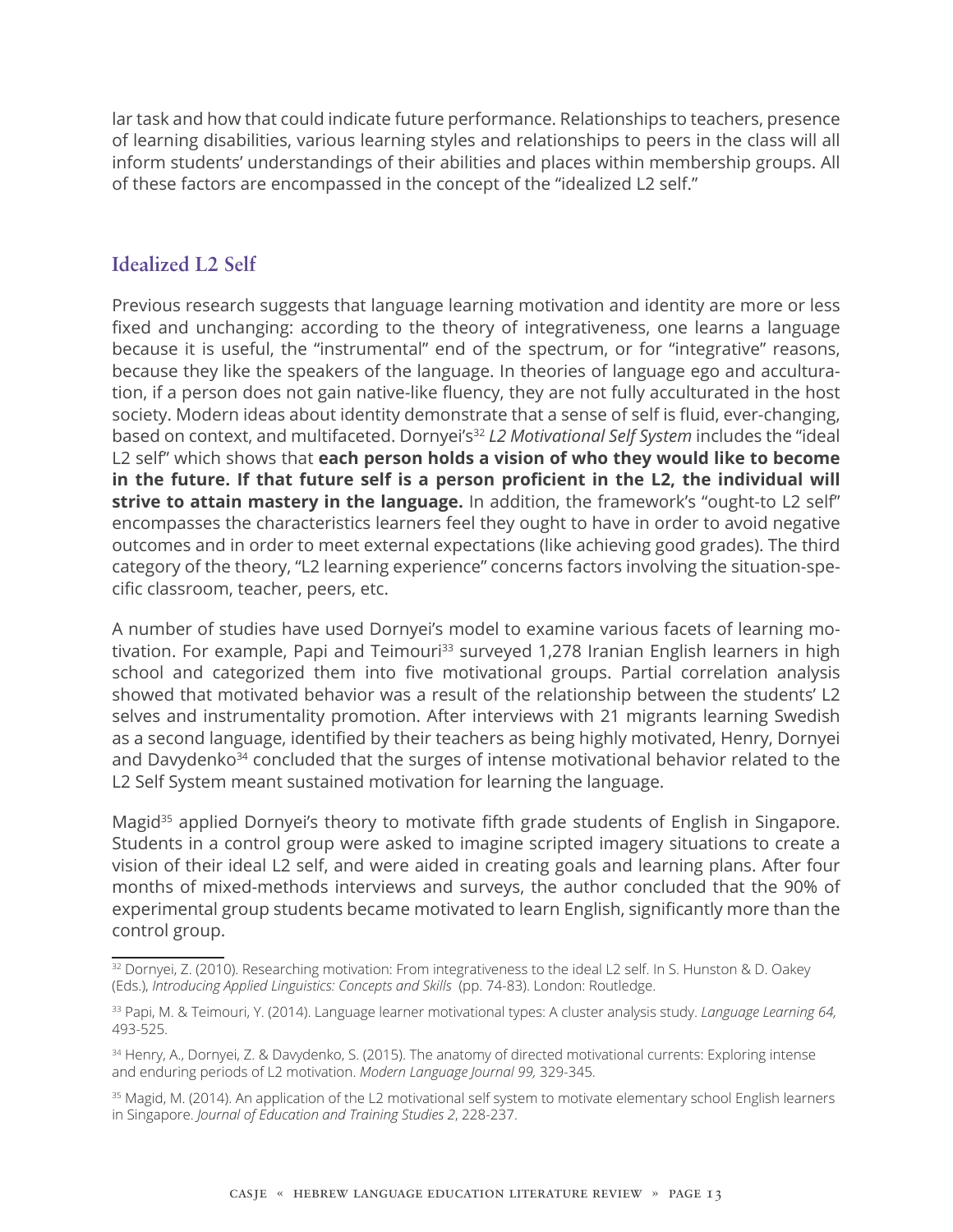lar task and how that could indicate future performance. Relationships to teachers, presence of learning disabilities, various learning styles and relationships to peers in the class will all inform students' understandings of their abilities and places within membership groups. All of these factors are encompassed in the concept of the "idealized L2 self."

#### **Idealized L2 Self**

Previous research suggests that language learning motivation and identity are more or less fixed and unchanging: according to the theory of integrativeness, one learns a language because it is useful, the "instrumental" end of the spectrum, or for "integrative" reasons, because they like the speakers of the language. In theories of language ego and acculturation, if a person does not gain native-like fluency, they are not fully acculturated in the host society. Modern ideas about identity demonstrate that a sense of self is fluid, ever-changing, based on context, and multifaceted. Dornyei's<sup>32</sup> *L2 Motivational Self System* includes the "ideal L2 self" which shows that **each person holds a vision of who they would like to become in the future. If that future self is a person proficient in the L2, the individual will strive to attain mastery in the language.** In addition, the framework's "ought-to L2 self" encompasses the characteristics learners feel they ought to have in order to avoid negative outcomes and in order to meet external expectations (like achieving good grades). The third category of the theory, "L2 learning experience" concerns factors involving the situation-specific classroom, teacher, peers, etc.

A number of studies have used Dornyei's model to examine various facets of learning motivation. For example, Papi and Teimouri<sup>33</sup> surveyed 1,278 Iranian English learners in high school and categorized them into five motivational groups. Partial correlation analysis showed that motivated behavior was a result of the relationship between the students' L2 selves and instrumentality promotion. After interviews with 21 migrants learning Swedish as a second language, identified by their teachers as being highly motivated, Henry, Dornyei and Davydenko<sup>34</sup> concluded that the surges of intense motivational behavior related to the L2 Self System meant sustained motivation for learning the language.

Magid<sup>35</sup> applied Dornyei's theory to motivate fifth grade students of English in Singapore. Students in a control group were asked to imagine scripted imagery situations to create a vision of their ideal L2 self, and were aided in creating goals and learning plans. After four months of mixed-methods interviews and surveys, the author concluded that the 90% of experimental group students became motivated to learn English, significantly more than the control group.

<sup>32</sup> Dornyei, Z. (2010). Researching motivation: From integrativeness to the ideal L2 self. In S. Hunston & D. Oakey (Eds.), *Introducing Applied Linguistics: Concepts and Skills* (pp. 74-83). London: Routledge.

<sup>33</sup> Papi, M. & Teimouri, Y. (2014). Language learner motivational types: A cluster analysis study. *Language Learning 64,* 493-525.

<sup>34</sup> Henry, A., Dornyei, Z. & Davydenko, S. (2015). The anatomy of directed motivational currents: Exploring intense and enduring periods of L2 motivation. *Modern Language Journal 99,* 329-345.

<sup>&</sup>lt;sup>35</sup> Magid, M. (2014). An application of the L2 motivational self system to motivate elementary school English learners in Singapore. *Journal of Education and Training Studies 2*, 228-237.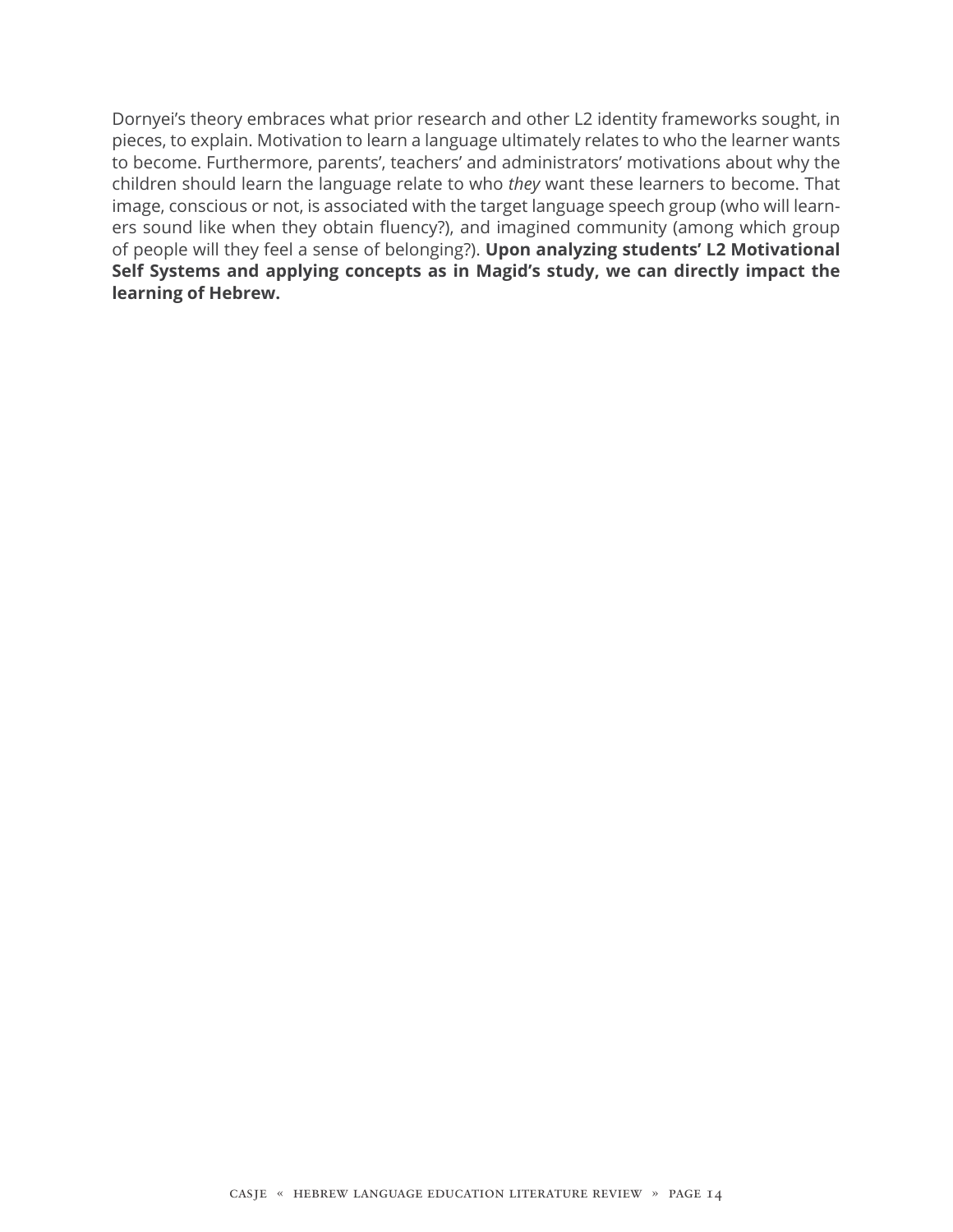Dornyei's theory embraces what prior research and other L2 identity frameworks sought, in pieces, to explain. Motivation to learn a language ultimately relates to who the learner wants to become. Furthermore, parents', teachers' and administrators' motivations about why the children should learn the language relate to who *they* want these learners to become. That image, conscious or not, is associated with the target language speech group (who will learners sound like when they obtain fluency?), and imagined community (among which group of people will they feel a sense of belonging?). **Upon analyzing students' L2 Motivational Self Systems and applying concepts as in Magid's study, we can directly impact the learning of Hebrew.**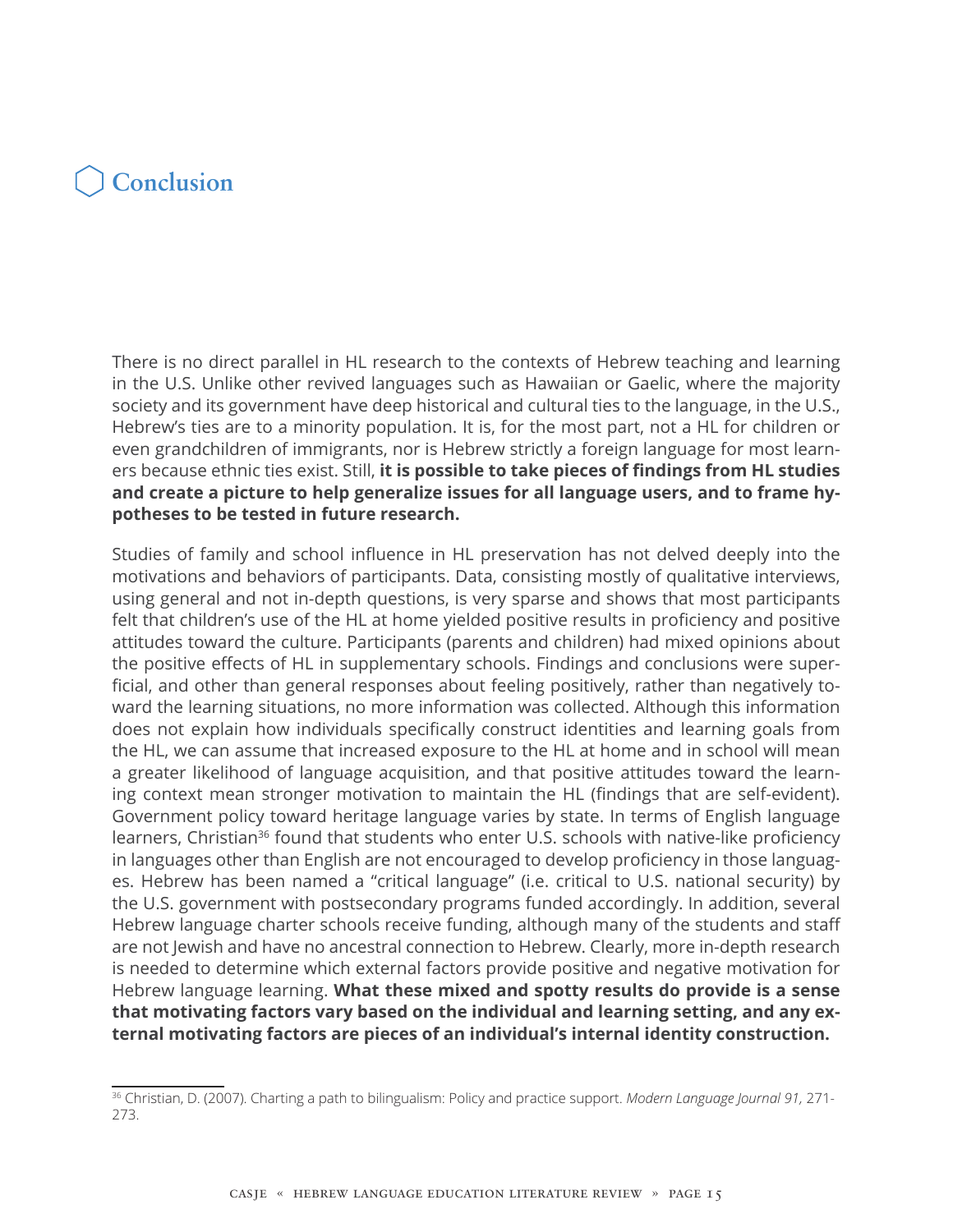## **Conclusion**

There is no direct parallel in HL research to the contexts of Hebrew teaching and learning in the U.S. Unlike other revived languages such as Hawaiian or Gaelic, where the majority society and its government have deep historical and cultural ties to the language, in the U.S., Hebrew's ties are to a minority population. It is, for the most part, not a HL for children or even grandchildren of immigrants, nor is Hebrew strictly a foreign language for most learners because ethnic ties exist. Still, **it is possible to take pieces of findings from HL studies and create a picture to help generalize issues for all language users, and to frame hypotheses to be tested in future research.**

Studies of family and school influence in HL preservation has not delved deeply into the motivations and behaviors of participants. Data, consisting mostly of qualitative interviews, using general and not in-depth questions, is very sparse and shows that most participants felt that children's use of the HL at home yielded positive results in proficiency and positive attitudes toward the culture. Participants (parents and children) had mixed opinions about the positive effects of HL in supplementary schools. Findings and conclusions were superficial, and other than general responses about feeling positively, rather than negatively toward the learning situations, no more information was collected. Although this information does not explain how individuals specifically construct identities and learning goals from the HL, we can assume that increased exposure to the HL at home and in school will mean a greater likelihood of language acquisition, and that positive attitudes toward the learning context mean stronger motivation to maintain the HL (findings that are self-evident). Government policy toward heritage language varies by state. In terms of English language learners, Christian<sup>36</sup> found that students who enter U.S. schools with native-like proficiency in languages other than English are not encouraged to develop proficiency in those languages. Hebrew has been named a "critical language" (i.e. critical to U.S. national security) by the U.S. government with postsecondary programs funded accordingly. In addition, several Hebrew language charter schools receive funding, although many of the students and staff are not Jewish and have no ancestral connection to Hebrew. Clearly, more in-depth research is needed to determine which external factors provide positive and negative motivation for Hebrew language learning. **What these mixed and spotty results do provide is a sense that motivating factors vary based on the individual and learning setting, and any external motivating factors are pieces of an individual's internal identity construction.** 

<sup>36</sup> Christian, D. (2007). Charting a path to bilingualism: Policy and practice support. *Modern Language Journal 91,* 271- 273.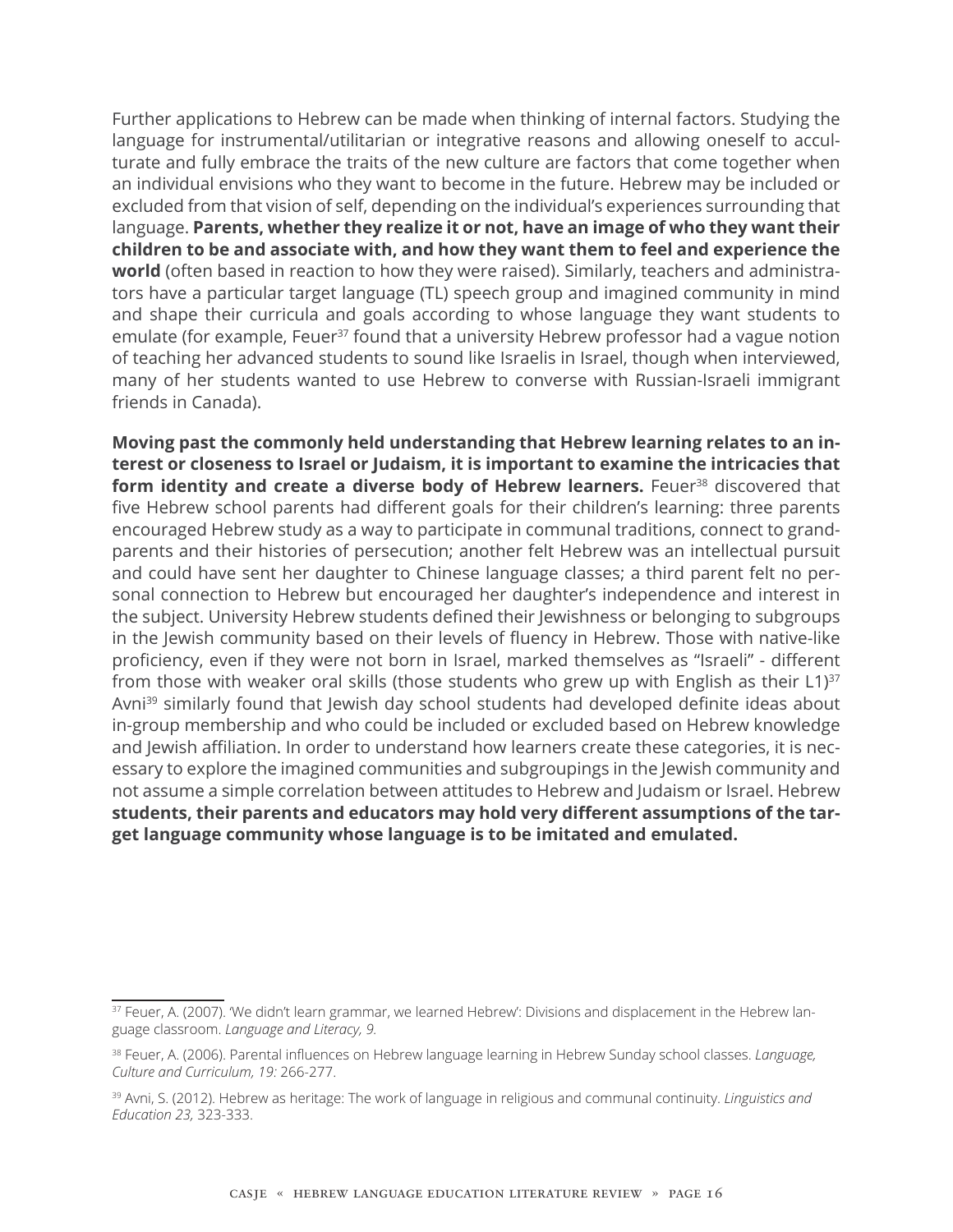Further applications to Hebrew can be made when thinking of internal factors. Studying the language for instrumental/utilitarian or integrative reasons and allowing oneself to acculturate and fully embrace the traits of the new culture are factors that come together when an individual envisions who they want to become in the future. Hebrew may be included or excluded from that vision of self, depending on the individual's experiences surrounding that language. **Parents, whether they realize it or not, have an image of who they want their children to be and associate with, and how they want them to feel and experience the world** (often based in reaction to how they were raised). Similarly, teachers and administrators have a particular target language (TL) speech group and imagined community in mind and shape their curricula and goals according to whose language they want students to emulate (for example, Feuer<sup>37</sup> found that a university Hebrew professor had a vague notion of teaching her advanced students to sound like Israelis in Israel, though when interviewed, many of her students wanted to use Hebrew to converse with Russian-Israeli immigrant friends in Canada).

**Moving past the commonly held understanding that Hebrew learning relates to an interest or closeness to Israel or Judaism, it is important to examine the intricacies that**  form identity and create a diverse body of Hebrew learners. Feuer<sup>38</sup> discovered that five Hebrew school parents had different goals for their children's learning: three parents encouraged Hebrew study as a way to participate in communal traditions, connect to grandparents and their histories of persecution; another felt Hebrew was an intellectual pursuit and could have sent her daughter to Chinese language classes; a third parent felt no personal connection to Hebrew but encouraged her daughter's independence and interest in the subject. University Hebrew students defined their Jewishness or belonging to subgroups in the Jewish community based on their levels of fluency in Hebrew. Those with native-like proficiency, even if they were not born in Israel, marked themselves as "Israeli" - different from those with weaker oral skills (those students who grew up with English as their  $L1$ )<sup>37</sup> Avni<sup>39</sup> similarly found that Jewish day school students had developed definite ideas about in-group membership and who could be included or excluded based on Hebrew knowledge and Jewish affiliation. In order to understand how learners create these categories, it is necessary to explore the imagined communities and subgroupings in the Jewish community and not assume a simple correlation between attitudes to Hebrew and Judaism or Israel. Hebrew **students, their parents and educators may hold very different assumptions of the target language community whose language is to be imitated and emulated.**

<sup>&</sup>lt;sup>37</sup> Feuer, A. (2007). 'We didn't learn grammar, we learned Hebrew': Divisions and displacement in the Hebrew language classroom. *Language and Literacy, 9.*

<sup>38</sup> Feuer, A. (2006). Parental influences on Hebrew language learning in Hebrew Sunday school classes. *Language, Culture and Curriculum, 19:* 266-277.

<sup>39</sup> Avni, S. (2012). Hebrew as heritage: The work of language in religious and communal continuity. *Linguistics and Education 23,* 323-333.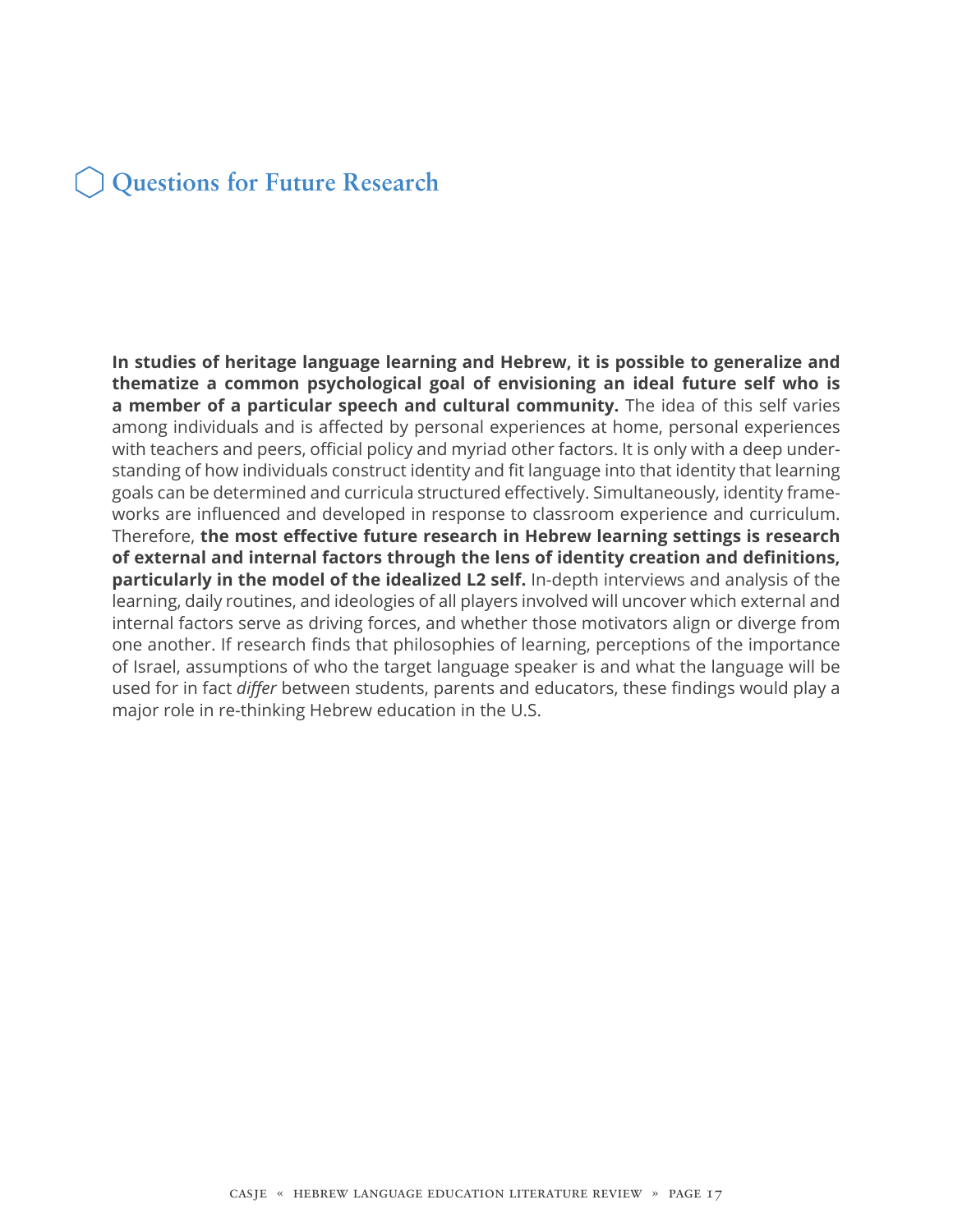### **Questions for Future Research**

**In studies of heritage language learning and Hebrew, it is possible to generalize and thematize a common psychological goal of envisioning an ideal future self who is a member of a particular speech and cultural community.** The idea of this self varies among individuals and is affected by personal experiences at home, personal experiences with teachers and peers, official policy and myriad other factors. It is only with a deep understanding of how individuals construct identity and fit language into that identity that learning goals can be determined and curricula structured effectively. Simultaneously, identity frameworks are influenced and developed in response to classroom experience and curriculum. Therefore, **the most effective future research in Hebrew learning settings is research of external and internal factors through the lens of identity creation and definitions, particularly in the model of the idealized L2 self.** In-depth interviews and analysis of the learning, daily routines, and ideologies of all players involved will uncover which external and internal factors serve as driving forces, and whether those motivators align or diverge from one another. If research finds that philosophies of learning, perceptions of the importance of Israel, assumptions of who the target language speaker is and what the language will be used for in fact *differ* between students, parents and educators, these findings would play a major role in re-thinking Hebrew education in the U.S.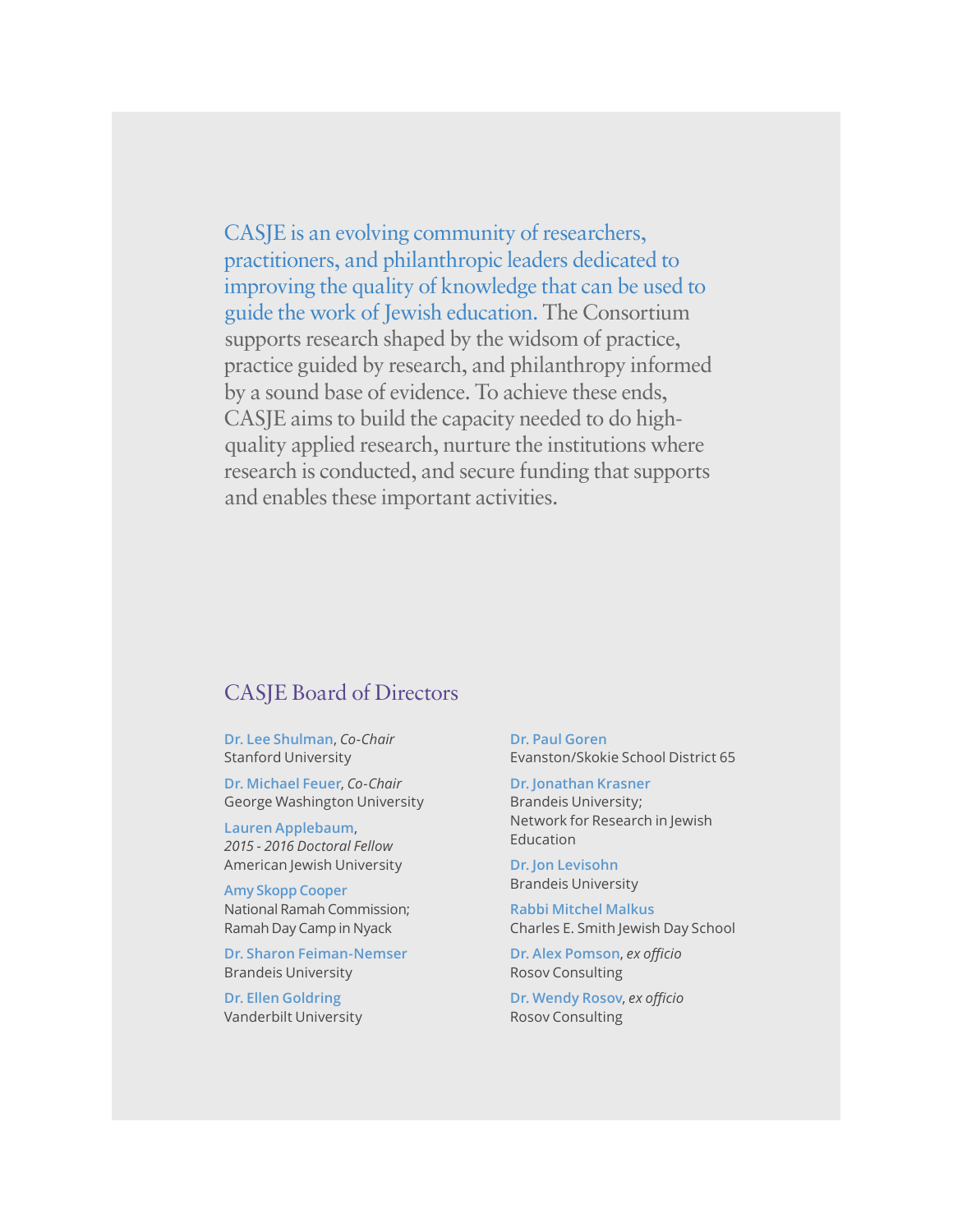CASJE is an evolving community of researchers, practitioners, and philanthropic leaders dedicated to improving the quality of knowledge that can be used to guide the work of Jewish education. The Consortium supports research shaped by the widsom of practice, practice guided by research, and philanthropy informed by a sound base of evidence. To achieve these ends, CASJE aims to build the capacity needed to do highquality applied research, nurture the institutions where research is conducted, and secure funding that supports and enables these important activities.

#### CASJE Board of Directors

**Dr. Lee Shulman**, *Co-Chair* Stanford University

**Dr. Michael Feuer**, *Co-Chair* George Washington University

**Lauren Applebaum**, *2015 - 2016 Doctoral Fellow* American Jewish University

**Amy Skopp Cooper** National Ramah Commission; Ramah Day Camp in Nyack

**Dr. Sharon Feiman-Nemser** Brandeis University

**Dr. Ellen Goldring** Vanderbilt University **Dr. Paul Goren** Evanston/Skokie School District 65

**Dr. Jonathan Krasner** Brandeis University; Network for Research in Jewish Education

**Dr. Jon Levisohn** Brandeis University

**Rabbi Mitchel Malkus** Charles E. Smith Jewish Day School

**Dr. Alex Pomson**, *ex officio* Rosov Consulting

**Dr. Wendy Rosov**, *ex officio* Rosov Consulting